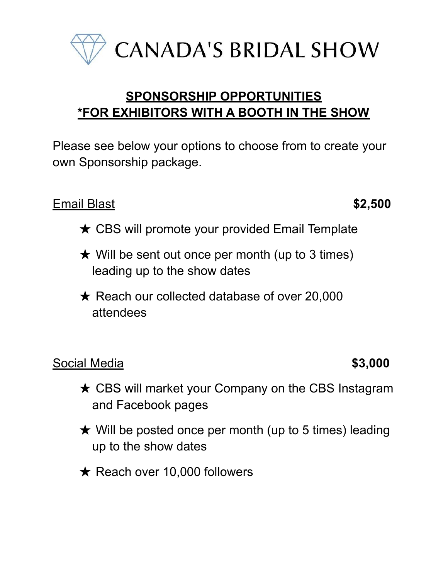

**CANADA'S BRIDAL SHOW** 

# **SPONSORSHIP OPPORTUNITIES \*FOR EXHIBITORS WITH A BOOTH IN THE SHOW**

Please see below your options to choose from to create your own Sponsorship package.

### Email Blast **\$2,500**

- $\star$  CBS will promote your provided Email Template
- $\star$  Will be sent out once per month (up to 3 times) leading up to the show dates
- **★ Reach our collected database of over 20,000** attendees

### Social Media **\$3,000**

- **★ CBS will market your Company on the CBS Instagram** and Facebook pages
- $\star$  Will be posted once per month (up to 5 times) leading up to the show dates
- $\star$  Reach over 10,000 followers